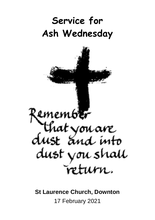# **Service for Ash Wednesday**



**St Laurence Church, Downton** 17 February 2021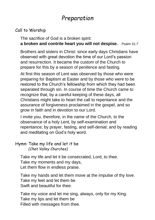# *Preparation*

# Call to Worship

The sacrifice of God is a broken spirit: **a broken and contrite heart you will not despise.** *Psalm 51:7*

Brothers and sisters in Christ: since early days Christians have observed with great devotion the time of our Lord's passion and resurrection. It became the custom of the Church to prepare for this by a season of penitence and fasting.

At first this season of Lent was observed by those who were preparing for Baptism at Easter and by those who were to be restored to the Church's fellowship from which they had been separated through sin. In course of time the Church came to recognize that, by a careful keeping of these days, all Christians might take to heart the call to repentance and the assurance of forgiveness proclaimed in the gospel, and so grow in faith and in devotion to our Lord.

I invite you, therefore, in the name of the Church, to the observance of a holy Lent, by self-examination and repentance; by prayer, fasting, and self-denial; and by reading and meditating on God's holy word.

#### Hymn: Take my life and let it be *(Chet Valley Churches)*

Take my life and let it be consecrated, Lord, to thee. Take my moments and my days, Let them flow in endless praise.

Take my hands and let them move at the impulse of thy love. Take my feet and let them be Swift and beautiful for thee.

Take my voice and let me sing, always, only for my King. Take my lips and let them be Filled with messages from thee.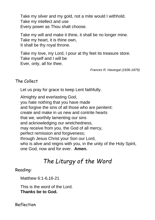Take my silver and my gold, not a mite would I withhold. Take my intellect and use Every power as Thou shalt choose.

Take my will and make it thine, it shall be no longer mine. Take my heart, it is thine own, It shall be thy royal throne.

Take my love, my Lord, I pour at thy feet its treasure store. Take myself and I will be Ever, only, all for thee.

*Frances R. Havergal (1836-1879)*

#### The Collect

Let us pray for grace to keep Lent faithfully.

Almighty and everlasting God, you hate nothing that you have made and forgive the sins of all those who are penitent: create and make in us new and contrite hearts that we, worthily lamenting our sins and acknowledging our wretchedness, may receive from you, the God of all mercy, perfect remission and forgiveness: through Jesus Christ your Son our Lord, who is alive and reigns with you, in the unity of the Holy Spirit, one God, now and for ever. **Amen.**

# *The Liturgy of the Word*

#### Reading:

Matthew 6:1-6,16-21

This is the word of the Lord. **Thanks be to God.**

Reflection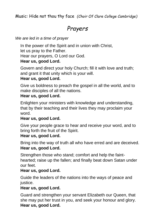Music: Hide not thou thy face *(Choir Of Clare College Cambridge)*

# *Prayers*

#### *We are led in a time of prayer*

In the power of the Spirit and in union with Christ,

let us pray to the Father.

Hear our prayers, O Lord our God.

# **Hear us, good Lord.**

Govern and direct your holy Church; fill it with love and truth; and grant it that unity which is your will.

### **Hear us, good Lord.**

Give us boldness to preach the gospel in all the world, and to make disciples of all the nations.

### **Hear us, good Lord.**

Enlighten your ministers with knowledge and understanding, that by their teaching and their lives they may proclaim your word.

#### **Hear us, good Lord.**

Give your people grace to hear and receive your word, and to bring forth the fruit of the Spirit.

#### **Hear us, good Lord.**

Bring into the way of truth all who have erred and are deceived. **Hear us, good Lord.**

Strengthen those who stand; comfort and help the fainthearted; raise up the fallen; and finally beat down Satan under our feet.

# **Hear us, good Lord.**

Guide the leaders of the nations into the ways of peace and justice.

# **Hear us, good Lord.**

Guard and strengthen your servant Elizabeth our Queen, that she may put her trust in you, and seek your honour and glory. **Hear us, good Lord.**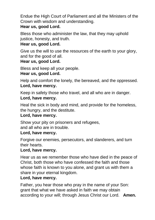Endue the High Court of Parliament and all the Ministers of the Crown with wisdom and understanding.

# **Hear us, good Lord.**

Bless those who administer the law, that they may uphold justice, honesty, and truth.

# **Hear us, good Lord.**

Give us the will to use the resources of the earth to your glory, and for the good of all.

# **Hear us, good Lord.**

Bless and keep all your people.

### **Hear us, good Lord.**

Help and comfort the lonely, the bereaved, and the oppressed. **Lord, have mercy.**

Keep in safety those who travel, and all who are in danger.

### **Lord, have mercy.**

Heal the sick in body and mind, and provide for the homeless, the hungry, and the destitute.

# **Lord, have mercy.**

Show your pity on prisoners and refugees,

and all who are in trouble.

#### **Lord, have mercy.**

Forgive our enemies, persecutors, and slanderers, and turn their hearts.

#### **Lord, have mercy.**

Hear us as we remember those who have died in the peace of Christ, both those who have confessed the faith and those whose faith is known to you alone, and grant us with them a share in your eternal kingdom.

# **Lord, have mercy.**

Father, you hear those who pray in the name of your Son: grant that what we have asked in faith we may obtain according to your will; through Jesus Christ our Lord. **Amen.**